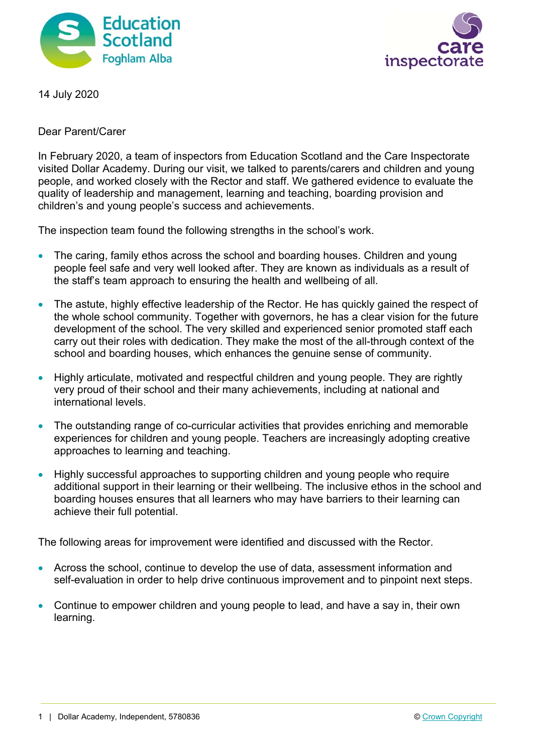



14 July 2020

Dear Parent/Carer

In February 2020, a team of inspectors from Education Scotland and the Care Inspectorate visited Dollar Academy. During our visit, we talked to parents/carers and children and young people, and worked closely with the Rector and staff. We gathered evidence to evaluate the quality of leadership and management, learning and teaching, boarding provision and children's and young people's success and achievements.

The inspection team found the following strengths in the school's work.

- The caring, family ethos across the school and boarding houses. Children and young people feel safe and very well looked after. They are known as individuals as a result of the staff's team approach to ensuring the health and wellbeing of all.
- The astute, highly effective leadership of the Rector. He has quickly gained the respect of the whole school community. Together with governors, he has a clear vision for the future development of the school. The very skilled and experienced senior promoted staff each carry out their roles with dedication. They make the most of the all-through context of the school and boarding houses, which enhances the genuine sense of community.
- Highly articulate, motivated and respectful children and young people. They are rightly very proud of their school and their many achievements, including at national and international levels.
- The outstanding range of co-curricular activities that provides enriching and memorable experiences for children and young people. Teachers are increasingly adopting creative approaches to learning and teaching.
- Highly successful approaches to supporting children and young people who require additional support in their learning or their wellbeing. The inclusive ethos in the school and boarding houses ensures that all learners who may have barriers to their learning can achieve their full potential.

The following areas for improvement were identified and discussed with the Rector.

- Across the school, continue to develop the use of data, assessment information and self-evaluation in order to help drive continuous improvement and to pinpoint next steps.
- Continue to empower children and young people to lead, and have a say in, their own learning.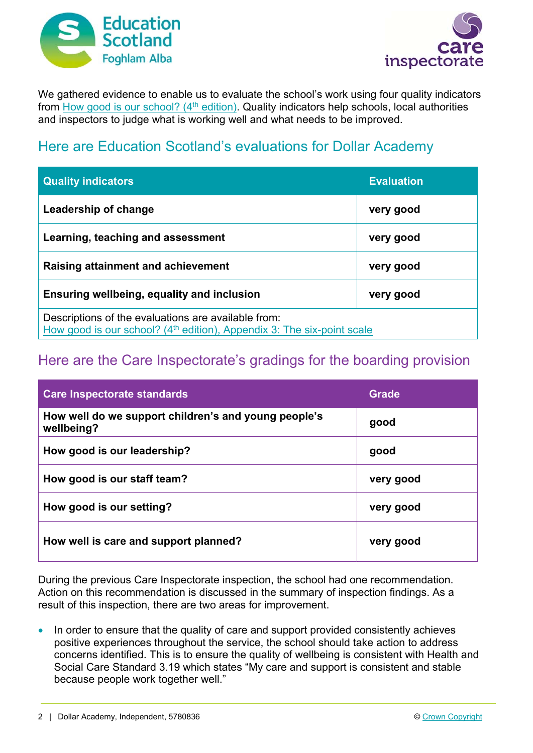



We gathered evidence to enable us to evaluate the school's work using four quality indicators from How good is our school?  $(4<sup>th</sup>$  edition). Quality indicators help schools, local authorities and inspectors to judge what is working well and what needs to be improved.

## Here are Education Scotland's evaluations for Dollar Academy

| <b>Quality indicators</b>                                                                                                                 | <b>Evaluation</b> |
|-------------------------------------------------------------------------------------------------------------------------------------------|-------------------|
| Leadership of change                                                                                                                      | very good         |
| Learning, teaching and assessment                                                                                                         | very good         |
| <b>Raising attainment and achievement</b>                                                                                                 | very good         |
| <b>Ensuring wellbeing, equality and inclusion</b>                                                                                         | very good         |
| Descriptions of the evaluations are available from:<br>How good is our school? (4 <sup>th</sup> edition), Appendix 3: The six-point scale |                   |

## Here are the Care Inspectorate's gradings for the boarding provision

| <b>Care Inspectorate standards</b>                                 | <b>Grade</b> |
|--------------------------------------------------------------------|--------------|
| How well do we support children's and young people's<br>wellbeing? | good         |
| How good is our leadership?                                        | good         |
| How good is our staff team?                                        | very good    |
| How good is our setting?                                           | very good    |
| How well is care and support planned?                              | very good    |

During the previous Care Inspectorate inspection, the school had one recommendation. Action on this recommendation is discussed in the summary of inspection findings. As a result of this inspection, there are two areas for improvement.

• In order to ensure that the quality of care and support provided consistently achieves positive experiences throughout the service, the school should take action to address concerns identified. This is to ensure the quality of wellbeing is consistent with Health and Social Care Standard 3.19 which states "My care and support is consistent and stable because people work together well."